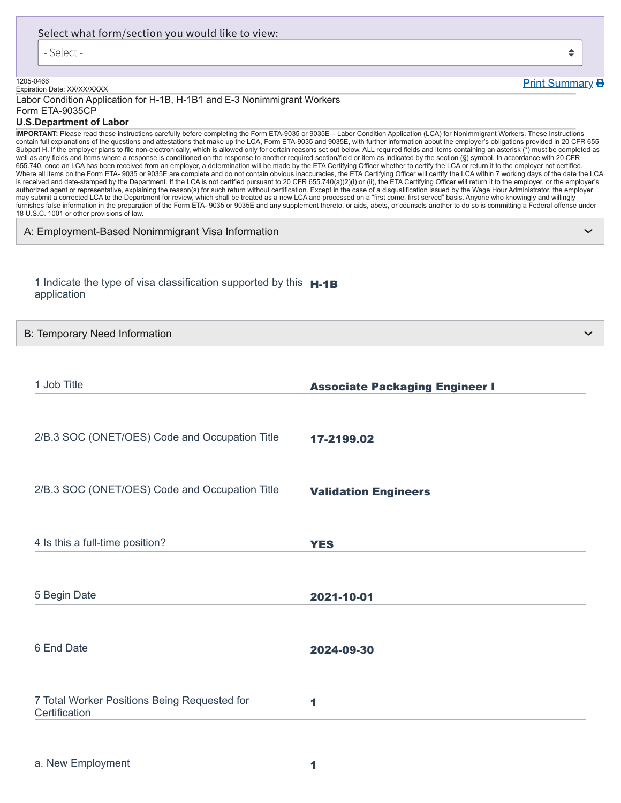| Select what form/section you would like to view:                                                                                                                                                                                                                                                                                                                                                                                                                                                                                                                                                                             |                                                                                                                                                                                                                                                                                                                                                                                                                                                                                                                                                                                                                                                                                                                                                                                                                                                                                                                                                                                                                                                                                                                                                                                                                                                                                                                                                                                                        |
|------------------------------------------------------------------------------------------------------------------------------------------------------------------------------------------------------------------------------------------------------------------------------------------------------------------------------------------------------------------------------------------------------------------------------------------------------------------------------------------------------------------------------------------------------------------------------------------------------------------------------|--------------------------------------------------------------------------------------------------------------------------------------------------------------------------------------------------------------------------------------------------------------------------------------------------------------------------------------------------------------------------------------------------------------------------------------------------------------------------------------------------------------------------------------------------------------------------------------------------------------------------------------------------------------------------------------------------------------------------------------------------------------------------------------------------------------------------------------------------------------------------------------------------------------------------------------------------------------------------------------------------------------------------------------------------------------------------------------------------------------------------------------------------------------------------------------------------------------------------------------------------------------------------------------------------------------------------------------------------------------------------------------------------------|
| - Select -                                                                                                                                                                                                                                                                                                                                                                                                                                                                                                                                                                                                                   | ♦                                                                                                                                                                                                                                                                                                                                                                                                                                                                                                                                                                                                                                                                                                                                                                                                                                                                                                                                                                                                                                                                                                                                                                                                                                                                                                                                                                                                      |
| 1205-0466                                                                                                                                                                                                                                                                                                                                                                                                                                                                                                                                                                                                                    | <b>Print Summary B</b>                                                                                                                                                                                                                                                                                                                                                                                                                                                                                                                                                                                                                                                                                                                                                                                                                                                                                                                                                                                                                                                                                                                                                                                                                                                                                                                                                                                 |
| Expiration Date: XX/XX/XXXX<br>Labor Condition Application for H-1B, H-1B1 and E-3 Nonimmigrant Workers                                                                                                                                                                                                                                                                                                                                                                                                                                                                                                                      |                                                                                                                                                                                                                                                                                                                                                                                                                                                                                                                                                                                                                                                                                                                                                                                                                                                                                                                                                                                                                                                                                                                                                                                                                                                                                                                                                                                                        |
| Form ETA-9035CP<br><b>U.S.Department of Labor</b>                                                                                                                                                                                                                                                                                                                                                                                                                                                                                                                                                                            |                                                                                                                                                                                                                                                                                                                                                                                                                                                                                                                                                                                                                                                                                                                                                                                                                                                                                                                                                                                                                                                                                                                                                                                                                                                                                                                                                                                                        |
| well as any fields and items where a response is conditioned on the response to another required section/field or item as indicated by the section (§) symbol. In accordance with 20 CFR<br>655.740, once an LCA has been received from an employer, a determination will be made by the ETA Certifying Officer whether to certify the LCA or return it to the employer not certified.<br>may submit a corrected LCA to the Department for review, which shall be treated as a new LCA and processed on a "first come, first served" basis. Anyone who knowingly and willingly<br>18 U.S.C. 1001 or other provisions of law. | IMPORTANT: Please read these instructions carefully before completing the Form ETA-9035 or 9035E - Labor Condition Application (LCA) for Nonimmigrant Workers. These instructions<br>contain full explanations of the questions and attestations that make up the LCA, Form ETA-9035 and 9035E, with further information about the employer's obligations provided in 20 CFR 655<br>Subpart H. If the employer plans to file non-electronically, which is allowed only for certain reasons set out below, ALL required fields and items containing an asterisk (*) must be completed as<br>Where all items on the Form ETA- 9035 or 9035E are complete and do not contain obvious inaccuracies, the ETA Certifying Officer will certify the LCA within 7 working days of the date the LCA<br>is received and date-stamped by the Department. If the LCA is not certified pursuant to 20 CFR 655.740(a)(2)(i) or (ii), the ETA Certifying Officer will return it to the employer, or the employer's<br>authorized agent or representative, explaining the reason(s) for such return without certification. Except in the case of a disqualification issued by the Wage Hour Administrator, the employer<br>furnishes false information in the preparation of the Form ETA- 9035 or 9035E and any supplement thereto, or aids, abets, or counsels another to do so is committing a Federal offense under |
| A: Employment-Based Nonimmigrant Visa Information                                                                                                                                                                                                                                                                                                                                                                                                                                                                                                                                                                            |                                                                                                                                                                                                                                                                                                                                                                                                                                                                                                                                                                                                                                                                                                                                                                                                                                                                                                                                                                                                                                                                                                                                                                                                                                                                                                                                                                                                        |
| 1 Indicate the type of visa classification supported by this <b>H-1B</b><br>application                                                                                                                                                                                                                                                                                                                                                                                                                                                                                                                                      |                                                                                                                                                                                                                                                                                                                                                                                                                                                                                                                                                                                                                                                                                                                                                                                                                                                                                                                                                                                                                                                                                                                                                                                                                                                                                                                                                                                                        |
| B: Temporary Need Information                                                                                                                                                                                                                                                                                                                                                                                                                                                                                                                                                                                                |                                                                                                                                                                                                                                                                                                                                                                                                                                                                                                                                                                                                                                                                                                                                                                                                                                                                                                                                                                                                                                                                                                                                                                                                                                                                                                                                                                                                        |
| 1 Job Title                                                                                                                                                                                                                                                                                                                                                                                                                                                                                                                                                                                                                  | <b>Associate Packaging Engineer I</b>                                                                                                                                                                                                                                                                                                                                                                                                                                                                                                                                                                                                                                                                                                                                                                                                                                                                                                                                                                                                                                                                                                                                                                                                                                                                                                                                                                  |
| 2/B.3 SOC (ONET/OES) Code and Occupation Title                                                                                                                                                                                                                                                                                                                                                                                                                                                                                                                                                                               | 17-2199.02                                                                                                                                                                                                                                                                                                                                                                                                                                                                                                                                                                                                                                                                                                                                                                                                                                                                                                                                                                                                                                                                                                                                                                                                                                                                                                                                                                                             |
| 2/B.3 SOC (ONET/OES) Code and Occupation Title                                                                                                                                                                                                                                                                                                                                                                                                                                                                                                                                                                               | <b>Validation Engineers</b>                                                                                                                                                                                                                                                                                                                                                                                                                                                                                                                                                                                                                                                                                                                                                                                                                                                                                                                                                                                                                                                                                                                                                                                                                                                                                                                                                                            |
| 4 Is this a full-time position?                                                                                                                                                                                                                                                                                                                                                                                                                                                                                                                                                                                              | <b>YES</b>                                                                                                                                                                                                                                                                                                                                                                                                                                                                                                                                                                                                                                                                                                                                                                                                                                                                                                                                                                                                                                                                                                                                                                                                                                                                                                                                                                                             |
| 5 Begin Date                                                                                                                                                                                                                                                                                                                                                                                                                                                                                                                                                                                                                 | 2021-10-01                                                                                                                                                                                                                                                                                                                                                                                                                                                                                                                                                                                                                                                                                                                                                                                                                                                                                                                                                                                                                                                                                                                                                                                                                                                                                                                                                                                             |
| 6 End Date                                                                                                                                                                                                                                                                                                                                                                                                                                                                                                                                                                                                                   | 2024-09-30                                                                                                                                                                                                                                                                                                                                                                                                                                                                                                                                                                                                                                                                                                                                                                                                                                                                                                                                                                                                                                                                                                                                                                                                                                                                                                                                                                                             |
|                                                                                                                                                                                                                                                                                                                                                                                                                                                                                                                                                                                                                              |                                                                                                                                                                                                                                                                                                                                                                                                                                                                                                                                                                                                                                                                                                                                                                                                                                                                                                                                                                                                                                                                                                                                                                                                                                                                                                                                                                                                        |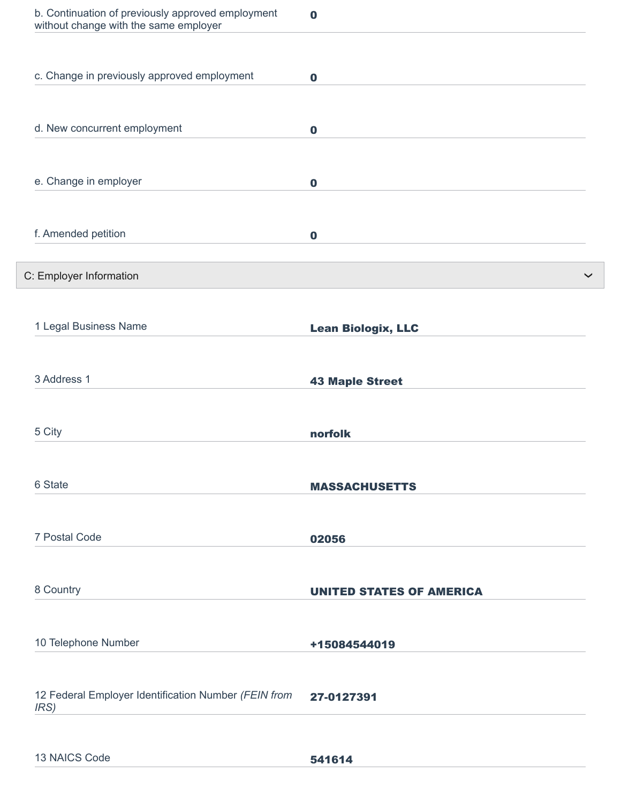| b. Continuation of previously approved employment<br>without change with the same employer | $\bf{0}$                        |
|--------------------------------------------------------------------------------------------|---------------------------------|
|                                                                                            |                                 |
| c. Change in previously approved employment                                                | $\mathbf 0$                     |
|                                                                                            |                                 |
| d. New concurrent employment                                                               | $\mathbf 0$                     |
| e. Change in employer                                                                      | $\mathbf 0$                     |
|                                                                                            |                                 |
| f. Amended petition                                                                        | $\mathbf 0$                     |
| C: Employer Information                                                                    |                                 |
|                                                                                            |                                 |
| 1 Legal Business Name                                                                      | <b>Lean Biologix, LLC</b>       |
| 3 Address 1                                                                                | <b>43 Maple Street</b>          |
|                                                                                            |                                 |
| 5 City                                                                                     | norfolk                         |
| 6 State                                                                                    | <b>MASSACHUSETTS</b>            |
|                                                                                            |                                 |
| 7 Postal Code                                                                              | 02056                           |
|                                                                                            |                                 |
| 8 Country                                                                                  | <b>UNITED STATES OF AMERICA</b> |
|                                                                                            |                                 |
| 10 Telephone Number                                                                        | +15084544019                    |
| 12 Federal Employer Identification Number (FEIN from<br>IRS)                               | 27-0127391                      |
|                                                                                            |                                 |
| 13 NAICS Code                                                                              | 541614                          |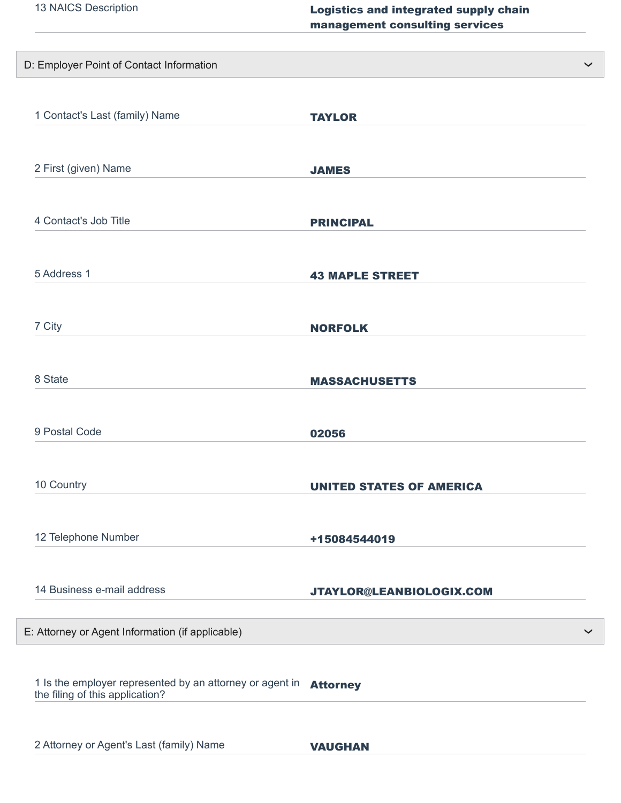| 13 NAICS Description                                                                                        | Logistics and integrated supply chain<br>management consulting services |
|-------------------------------------------------------------------------------------------------------------|-------------------------------------------------------------------------|
|                                                                                                             |                                                                         |
| D: Employer Point of Contact Information                                                                    |                                                                         |
|                                                                                                             |                                                                         |
| 1 Contact's Last (family) Name                                                                              | <b>TAYLOR</b>                                                           |
|                                                                                                             |                                                                         |
|                                                                                                             |                                                                         |
| 2 First (given) Name                                                                                        | <b>JAMES</b>                                                            |
|                                                                                                             |                                                                         |
| 4 Contact's Job Title                                                                                       | <b>PRINCIPAL</b>                                                        |
|                                                                                                             |                                                                         |
|                                                                                                             |                                                                         |
| 5 Address 1                                                                                                 | <b>43 MAPLE STREET</b>                                                  |
|                                                                                                             |                                                                         |
| 7 City                                                                                                      |                                                                         |
|                                                                                                             | <b>NORFOLK</b>                                                          |
|                                                                                                             |                                                                         |
| 8 State                                                                                                     | <b>MASSACHUSETTS</b>                                                    |
|                                                                                                             |                                                                         |
|                                                                                                             |                                                                         |
| 9 Postal Code                                                                                               | 02056                                                                   |
|                                                                                                             |                                                                         |
| 10 Country                                                                                                  | <b>UNITED STATES OF AMERICA</b>                                         |
|                                                                                                             |                                                                         |
|                                                                                                             |                                                                         |
| 12 Telephone Number                                                                                         | +15084544019                                                            |
|                                                                                                             |                                                                         |
| 14 Business e-mail address                                                                                  | JTAYLOR@LEANBIOLOGIX.COM                                                |
|                                                                                                             |                                                                         |
| E: Attorney or Agent Information (if applicable)                                                            |                                                                         |
|                                                                                                             |                                                                         |
|                                                                                                             |                                                                         |
| 1 Is the employer represented by an attorney or agent in <b>Attorney</b><br>the filing of this application? |                                                                         |
|                                                                                                             |                                                                         |
|                                                                                                             |                                                                         |
| 2 Attorney or Agent's Last (family) Name                                                                    | <b>VAUGHAN</b>                                                          |

❯

❯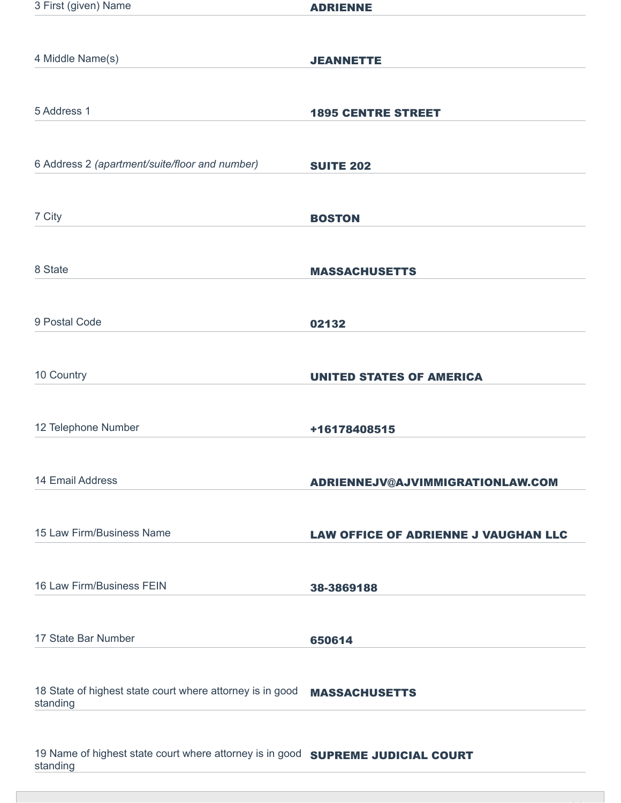| 3 First (given) Name                                                                    | <b>ADRIENNE</b>                             |
|-----------------------------------------------------------------------------------------|---------------------------------------------|
|                                                                                         |                                             |
| 4 Middle Name(s)                                                                        | <b>JEANNETTE</b>                            |
|                                                                                         |                                             |
| 5 Address 1                                                                             | <b>1895 CENTRE STREET</b>                   |
|                                                                                         |                                             |
| 6 Address 2 (apartment/suite/floor and number)                                          | <b>SUITE 202</b>                            |
|                                                                                         |                                             |
| 7 City                                                                                  | <b>BOSTON</b>                               |
|                                                                                         |                                             |
| 8 State                                                                                 | <b>MASSACHUSETTS</b>                        |
|                                                                                         |                                             |
| 9 Postal Code                                                                           | 02132                                       |
|                                                                                         |                                             |
| 10 Country                                                                              | <b>UNITED STATES OF AMERICA</b>             |
|                                                                                         |                                             |
| 12 Telephone Number                                                                     | +16178408515                                |
|                                                                                         |                                             |
| 14 Email Address                                                                        | ADRIENNEJV@AJVIMMIGRATIONLAW.COM            |
|                                                                                         |                                             |
| 15 Law Firm/Business Name                                                               | <b>LAW OFFICE OF ADRIENNE J VAUGHAN LLC</b> |
|                                                                                         |                                             |
| 16 Law Firm/Business FEIN                                                               | 38-3869188                                  |
|                                                                                         |                                             |
| 17 State Bar Number                                                                     | 650614                                      |
|                                                                                         |                                             |
| 18 State of highest state court where attorney is in good<br>standing                   | <b>MASSACHUSETTS</b>                        |
|                                                                                         |                                             |
| 10 Name of bighest state court where attorney is in good <b>CURRELLE UIBIALAL GAURE</b> |                                             |

19 Name of highest state court where attorney is in good **SUPREME JUDICIAL COURT** standing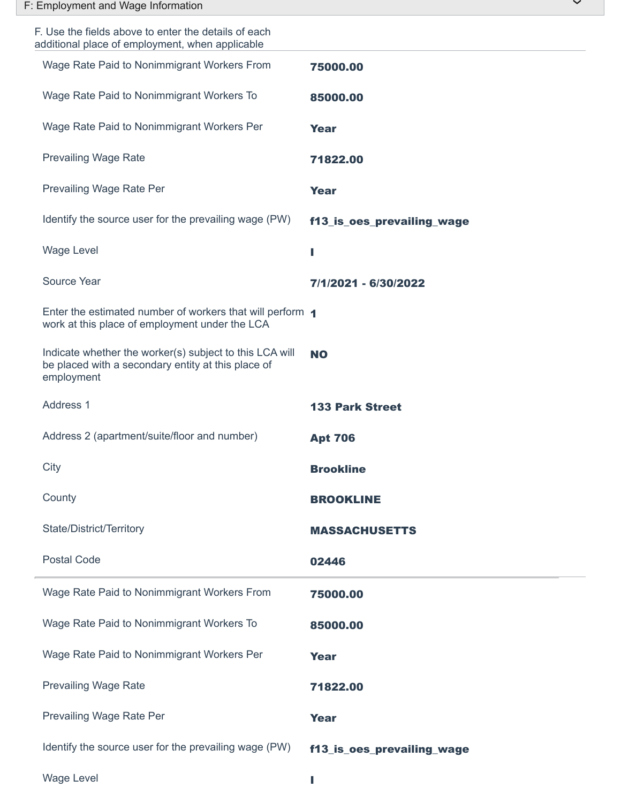| F: Employment and Wage Information                                                                                          | $\checkmark$               |
|-----------------------------------------------------------------------------------------------------------------------------|----------------------------|
| F. Use the fields above to enter the details of each<br>additional place of employment, when applicable                     |                            |
| Wage Rate Paid to Nonimmigrant Workers From                                                                                 | 75000.00                   |
| Wage Rate Paid to Nonimmigrant Workers To                                                                                   | 85000.00                   |
| Wage Rate Paid to Nonimmigrant Workers Per                                                                                  | <b>Year</b>                |
| <b>Prevailing Wage Rate</b>                                                                                                 | 71822.00                   |
| Prevailing Wage Rate Per                                                                                                    | <b>Year</b>                |
| Identify the source user for the prevailing wage (PW)                                                                       | f13_is_oes_prevailing_wage |
| <b>Wage Level</b>                                                                                                           | ш                          |
| Source Year                                                                                                                 | 7/1/2021 - 6/30/2022       |
| Enter the estimated number of workers that will perform 1<br>work at this place of employment under the LCA                 |                            |
| Indicate whether the worker(s) subject to this LCA will<br>be placed with a secondary entity at this place of<br>employment | <b>NO</b>                  |
| Address 1                                                                                                                   | <b>133 Park Street</b>     |
| Address 2 (apartment/suite/floor and number)                                                                                | <b>Apt 706</b>             |
| City                                                                                                                        | <b>Brookline</b>           |
| County                                                                                                                      | <b>BROOKLINE</b>           |
| State/District/Territory                                                                                                    | <b>MASSACHUSETTS</b>       |
| <b>Postal Code</b>                                                                                                          | 02446                      |
| Wage Rate Paid to Nonimmigrant Workers From                                                                                 | 75000.00                   |
| Wage Rate Paid to Nonimmigrant Workers To                                                                                   | 85000.00                   |
| Wage Rate Paid to Nonimmigrant Workers Per                                                                                  | <b>Year</b>                |
| <b>Prevailing Wage Rate</b>                                                                                                 | 71822.00                   |
| Prevailing Wage Rate Per                                                                                                    | <b>Year</b>                |
| Identify the source user for the prevailing wage (PW)                                                                       | f13_is_oes_prevailing_wage |
|                                                                                                                             |                            |

Wage Level **Internal Contract Contract Contract Contract Contract Contract Contract Contract Contract Contract Contract Contract Contract Contract Contract Contract Contract Contract Contract Contract Contract Contract Con**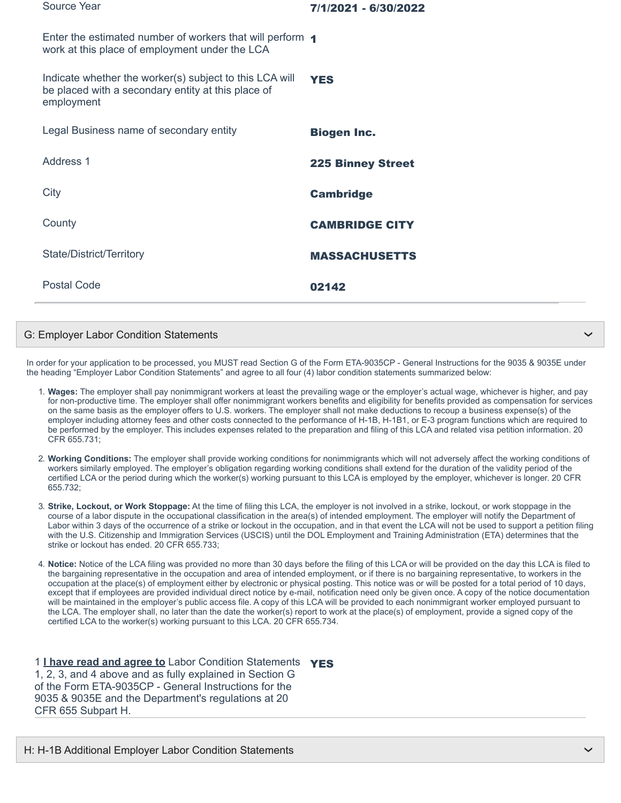| Source Year                                                                                                                 | 7/1/2021 - 6/30/2022     |
|-----------------------------------------------------------------------------------------------------------------------------|--------------------------|
| Enter the estimated number of workers that will perform 1<br>work at this place of employment under the LCA                 |                          |
| Indicate whether the worker(s) subject to this LCA will<br>be placed with a secondary entity at this place of<br>employment | <b>YES</b>               |
| Legal Business name of secondary entity                                                                                     | <b>Biogen Inc.</b>       |
| Address 1                                                                                                                   | <b>225 Binney Street</b> |
| City                                                                                                                        | <b>Cambridge</b>         |
| County                                                                                                                      | <b>CAMBRIDGE CITY</b>    |
| State/District/Territory                                                                                                    | <b>MASSACHUSETTS</b>     |
| <b>Postal Code</b>                                                                                                          | 02142                    |

## G: Employer Labor Condition Statements

In order for your application to be processed, you MUST read Section G of the Form ETA-9035CP - General Instructions for the 9035 & 9035E under the heading "Employer Labor Condition Statements" and agree to all four (4) labor condition statements summarized below:

- 1. **Wages:** The employer shall pay nonimmigrant workers at least the prevailing wage or the employer's actual wage, whichever is higher, and pay for non-productive time. The employer shall offer nonimmigrant workers benefits and eligibility for benefits provided as compensation for services on the same basis as the employer offers to U.S. workers. The employer shall not make deductions to recoup a business expense(s) of the employer including attorney fees and other costs connected to the performance of H-1B, H-1B1, or E-3 program functions which are required to be performed by the employer. This includes expenses related to the preparation and filing of this LCA and related visa petition information. 20 CFR 655.731;
- 2. **Working Conditions:** The employer shall provide working conditions for nonimmigrants which will not adversely affect the working conditions of workers similarly employed. The employer's obligation regarding working conditions shall extend for the duration of the validity period of the certified LCA or the period during which the worker(s) working pursuant to this LCA is employed by the employer, whichever is longer. 20 CFR 655.732;
- 3. **Strike, Lockout, or Work Stoppage:** At the time of filing this LCA, the employer is not involved in a strike, lockout, or work stoppage in the course of a labor dispute in the occupational classification in the area(s) of intended employment. The employer will notify the Department of Labor within 3 days of the occurrence of a strike or lockout in the occupation, and in that event the LCA will not be used to support a petition filing with the U.S. Citizenship and Immigration Services (USCIS) until the DOL Employment and Training Administration (ETA) determines that the strike or lockout has ended. 20 CFR 655.733;
- 4. **Notice:** Notice of the LCA filing was provided no more than 30 days before the filing of this LCA or will be provided on the day this LCA is filed to the bargaining representative in the occupation and area of intended employment, or if there is no bargaining representative, to workers in the occupation at the place(s) of employment either by electronic or physical posting. This notice was or will be posted for a total period of 10 days, except that if employees are provided individual direct notice by e-mail, notification need only be given once. A copy of the notice documentation will be maintained in the employer's public access file. A copy of this LCA will be provided to each nonimmigrant worker employed pursuant to the LCA. The employer shall, no later than the date the worker(s) report to work at the place(s) of employment, provide a signed copy of the certified LCA to the worker(s) working pursuant to this LCA. 20 CFR 655.734.

1 **I have read and agree to** Labor Condition Statements YES 1, 2, 3, and 4 above and as fully explained in Section G of the Form ETA-9035CP - General Instructions for the 9035 & 9035E and the Department's regulations at 20 CFR 655 Subpart H.

❯